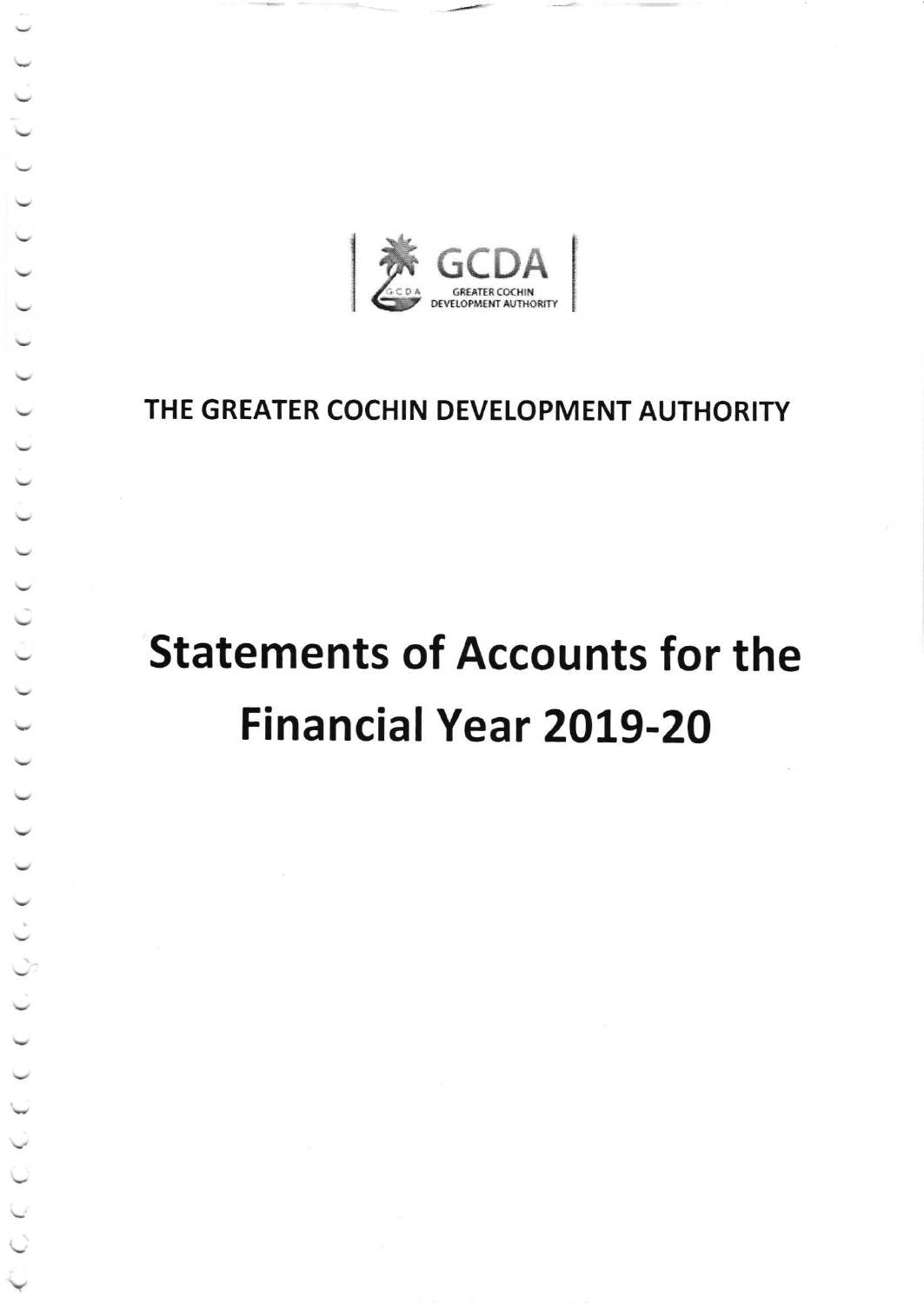

# THE GREATER COCHIN DEVELOPMENT AUTHORITY

# **Statements of Accounts for the Financial Year 2019-20**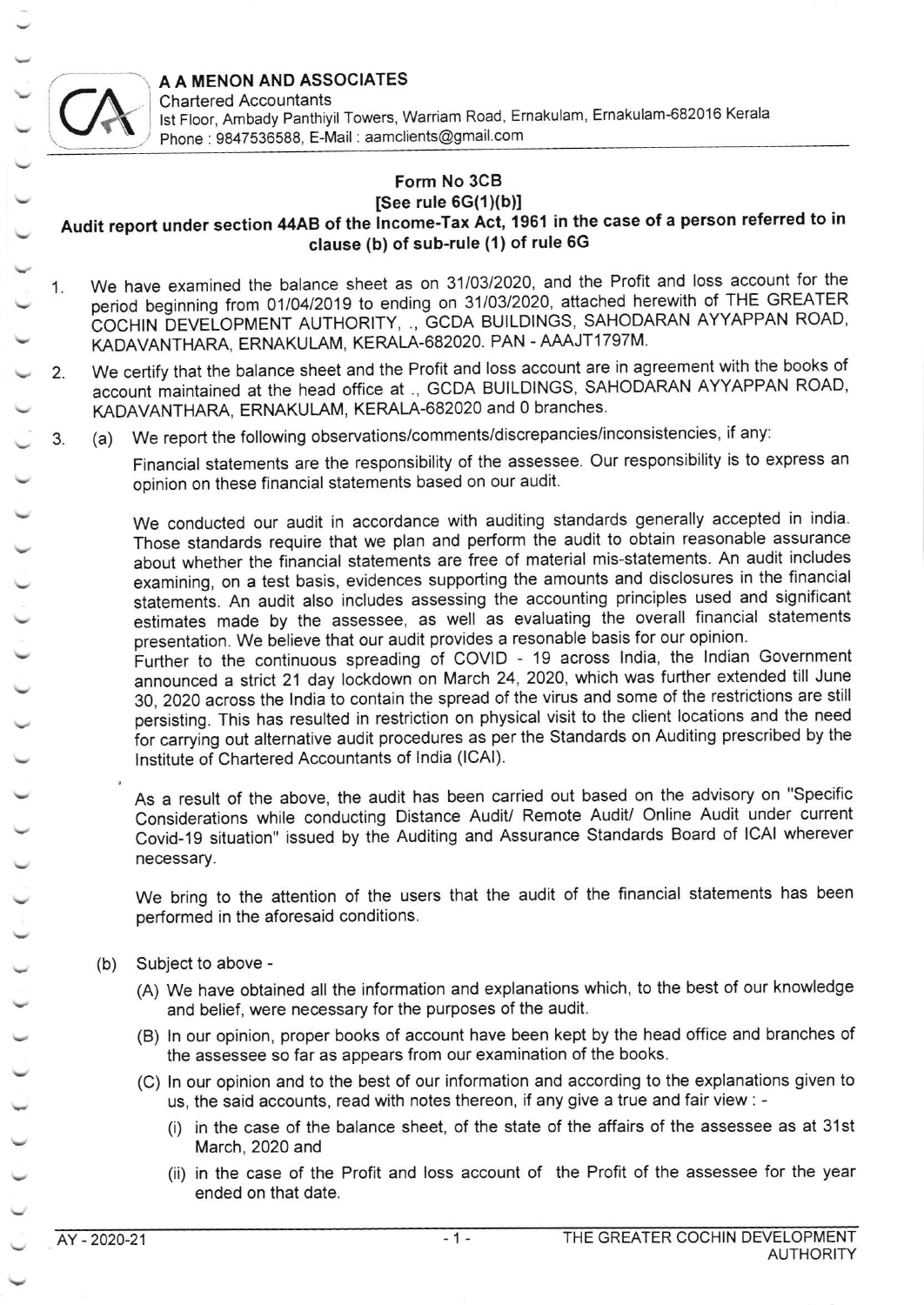A A MENON AND ASSOCIATES<br>Chartered Accountants



Chartered Accountants lst Floor, Ambady Panthiyil Towers, Warriam Road, Ernakulam, Ernakulam-682016 Kerala Phone : 9847536588, E-Mail : aamclients@gmail.com

## Form No 3CB

### $[See rule 6G(1)(b)]$

### Audit report under section 44AB of the lncome-Tax Act, 1961 in the case of a person referred to in clause (b) of sub-rule (1) of rule 6G

- 1. We have examined the balance sheet as on 31/03/2020, and the Profit and loss account for the period beginning from 01/04/2019 to ending on 31/03/2020, attached herewith of THE GREATER COCHIN DEVELOPMENT AUTHORITY, ., GCDA BUILDINGS, SAHODARAN AYYAPPAN ROAD, KADAVANTHARA, ERNAKULAM, KERALA-682020. PAN - AAAJT1797M.
- 2. We certify that the balance sheet and the Profit and loss account are in agreement with the books of account maintained at the head office at ., GCDA BUILDINGS, SAHODARAN AYYAPPAN ROAD, KADAVANTHARA, ERNAKULAM, KERALA-682020 and 0 branches.
- 3 (a) We report the following observations/comments/discrepancies/inconsistencies, if any:

Financial statements are the responsibility of the assessee. Our responsibility is to express an opinion on these financial statements based on our audit.

We conducted our audit in accordance with auditing standards generally accepted in india. Those standards require that we plan and perform the audit to obtain reasonable assurance about whether the financial statements are free of material mis-statements. An audit includes examining, on a test basis, evidences supporting the amounts and disclosures in the financial statemenis. An audit also includes assessing the accounting principles used and significant estimates made by the assessee, as well as evaluating the overall financial statements presentation. We believe that our audit provides a resonable basis for our opinion.

Further to the continuous spreading of COVID - 19 across lndia, the lndian Government announced a strict 21 day lockdown on March 24, 2020, which was further extended till June 30,2OZO across the lndia to contain the spread of the virus and some of the restrictions are still persisting. This has resulted in restriction on physical visit to the client locations and the need for carrying out alternative audit procedures as per the Standards on Auditing prescribed by the lnstitute of Chartered Accountants of lndia (lCAl).

As a result of the above, the audit has been carried out based on the advisory on "specific Considerations while conducting Distance Audit/ Remote Audit/ Online Audit under current Covid-19 situation" issued by the Auditing and Assurance Standards Board of lCAl wherever necessary.

We bring to the attention of the users that the audit of the financial statements has been performed in the aforesaid conditions.

- (b) Subject to above
	- (A) We have obtained all the information and explanations which, to the best of our knowledge and belief, were necessary for the purposes of the audit.
	- (B) ln our opinion, proper books of account have been kept by the head office and branches of the assessee so far as appears from our examination of the books.
	- (C) ln our opinion and to the best of our information and according to the explanations given to us, the said accounts, read with notes thereon, if any give a true and fair view : -
		- (i) in the case of the balance sheet, of the state of the affairs of the assessee as at 31st March, 2020 and
		- (ii) in the case of the Profit and loss account of the Profit of the assessee for the year ended on that date.